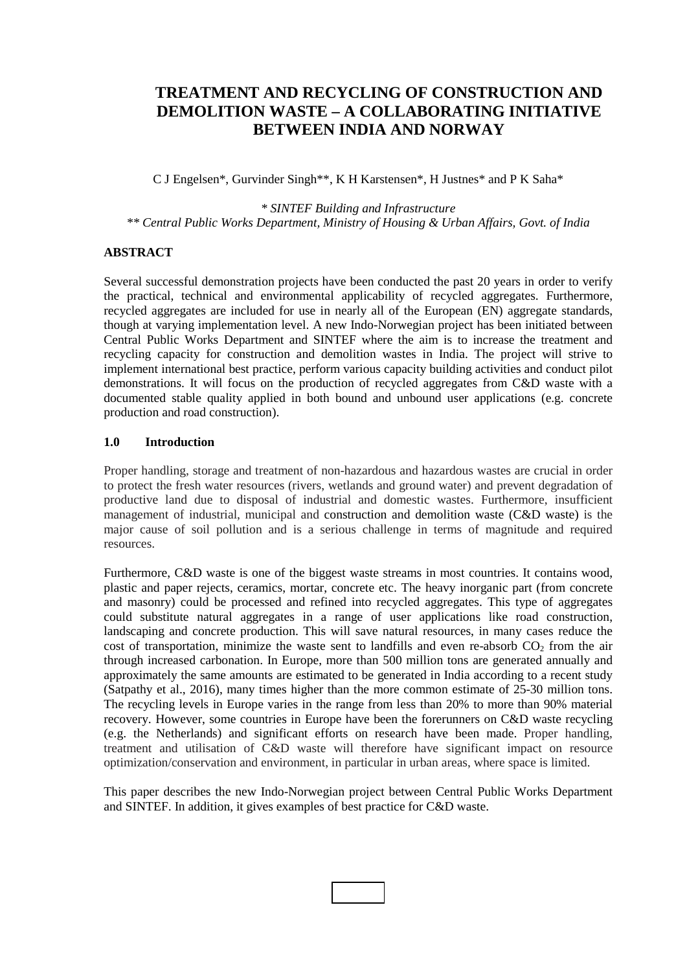# **TREATMENT AND RECYCLING OF CONSTRUCTION AND DEMOLITION WASTE – A COLLABORATING INITIATIVE BETWEEN INDIA AND NORWAY**

C J Engelsen\*, Gurvinder Singh\*\*, K H Karstensen\*, H Justnes\* and P K Saha\*

*\* SINTEF Building and Infrastructure \*\* Central Public Works Department, Ministry of Housing & Urban Affairs, Govt. of India*

# **ABSTRACT**

Several successful demonstration projects have been conducted the past 20 years in order to verify the practical, technical and environmental applicability of recycled aggregates. Furthermore, recycled aggregates are included for use in nearly all of the European (EN) aggregate standards, though at varying implementation level. A new Indo-Norwegian project has been initiated between Central Public Works Department and SINTEF where the aim is to increase the treatment and recycling capacity for construction and demolition wastes in India. The project will strive to implement international best practice, perform various capacity building activities and conduct pilot demonstrations. It will focus on the production of recycled aggregates from C&D waste with a documented stable quality applied in both bound and unbound user applications (e.g. concrete production and road construction).

## **1.0 Introduction**

Proper handling, storage and treatment of non-hazardous and hazardous wastes are crucial in order to protect the fresh water resources (rivers, wetlands and ground water) and prevent degradation of productive land due to disposal of industrial and domestic wastes. Furthermore, insufficient management of industrial, municipal and construction and demolition waste (C&D waste) is the major cause of soil pollution and is a serious challenge in terms of magnitude and required resources.

Furthermore, C&D waste is one of the biggest waste streams in most countries. It contains wood, plastic and paper rejects, ceramics, mortar, concrete etc. The heavy inorganic part (from concrete and masonry) could be processed and refined into recycled aggregates. This type of aggregates could substitute natural aggregates in a range of user applications like road construction, landscaping and concrete production. This will save natural resources, in many cases reduce the cost of transportation, minimize the waste sent to landfills and even re-absorb  $CO<sub>2</sub>$  from the air through increased carbonation. In Europe, more than 500 million tons are generated annually and approximately the same amounts are estimated to be generated in India according to a recent study (Satpathy et al., 2016), many times higher than the more common estimate of 25-30 million tons. The recycling levels in Europe varies in the range from less than 20% to more than 90% material recovery. However, some countries in Europe have been the forerunners on C&D waste recycling (e.g. the Netherlands) and significant efforts on research have been made. Proper handling, treatment and utilisation of C&D waste will therefore have significant impact on resource optimization/conservation and environment, in particular in urban areas, where space is limited.

This paper describes the new Indo-Norwegian project between Central Public Works Department and SINTEF. In addition, it gives examples of best practice for C&D waste.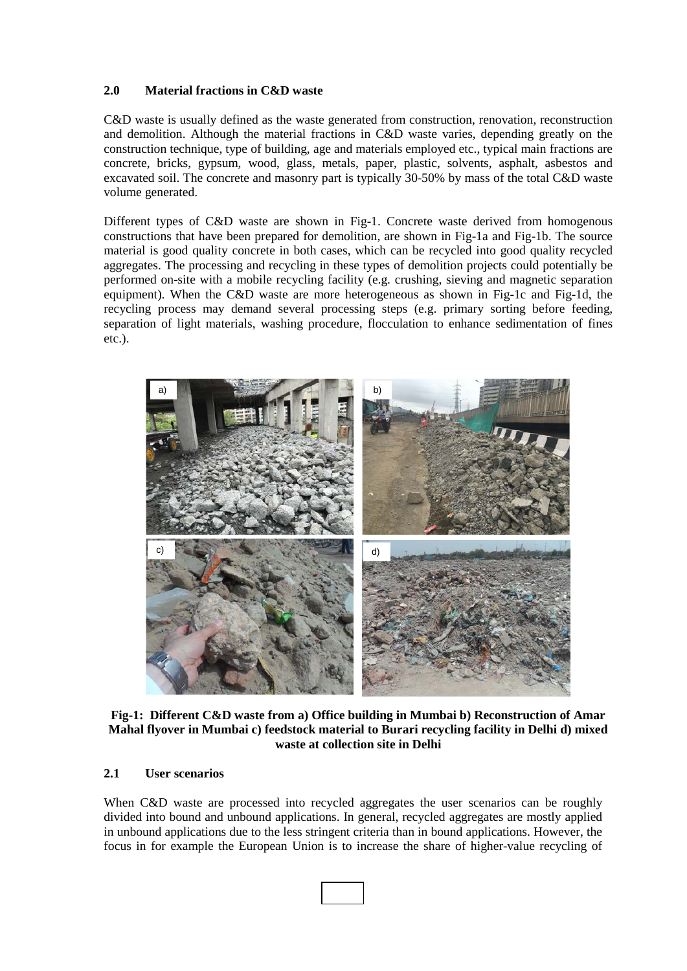# **2.0 Material fractions in C&D waste**

C&D waste is usually defined as the waste generated from construction, renovation, reconstruction and demolition. Although the material fractions in C&D waste varies, depending greatly on the construction technique, type of building, age and materials employed etc., typical main fractions are concrete, bricks, gypsum, wood, glass, metals, paper, plastic, solvents, asphalt, asbestos and excavated soil. The concrete and masonry part is typically 30-50% by mass of the total C&D waste volume generated.

Different types of C&D waste are shown in Fig-1. Concrete waste derived from homogenous constructions that have been prepared for demolition, are shown in Fig-1a and Fig-1b. The source material is good quality concrete in both cases, which can be recycled into good quality recycled aggregates. The processing and recycling in these types of demolition projects could potentially be performed on-site with a mobile recycling facility (e.g. crushing, sieving and magnetic separation equipment). When the C&D waste are more heterogeneous as shown in Fig-1c and Fig-1d, the recycling process may demand several processing steps (e.g. primary sorting before feeding, separation of light materials, washing procedure, flocculation to enhance sedimentation of fines etc.).



**Fig-1: Different C&D waste from a) Office building in Mumbai b) Reconstruction of Amar Mahal flyover in Mumbai c) feedstock material to Burari recycling facility in Delhi d) mixed waste at collection site in Delhi**

## **2.1 User scenarios**

When C&D waste are processed into recycled aggregates the user scenarios can be roughly divided into bound and unbound applications. In general, recycled aggregates are mostly applied in unbound applications due to the less stringent criteria than in bound applications. However, the focus in for example the European Union is to increase the share of higher-value recycling of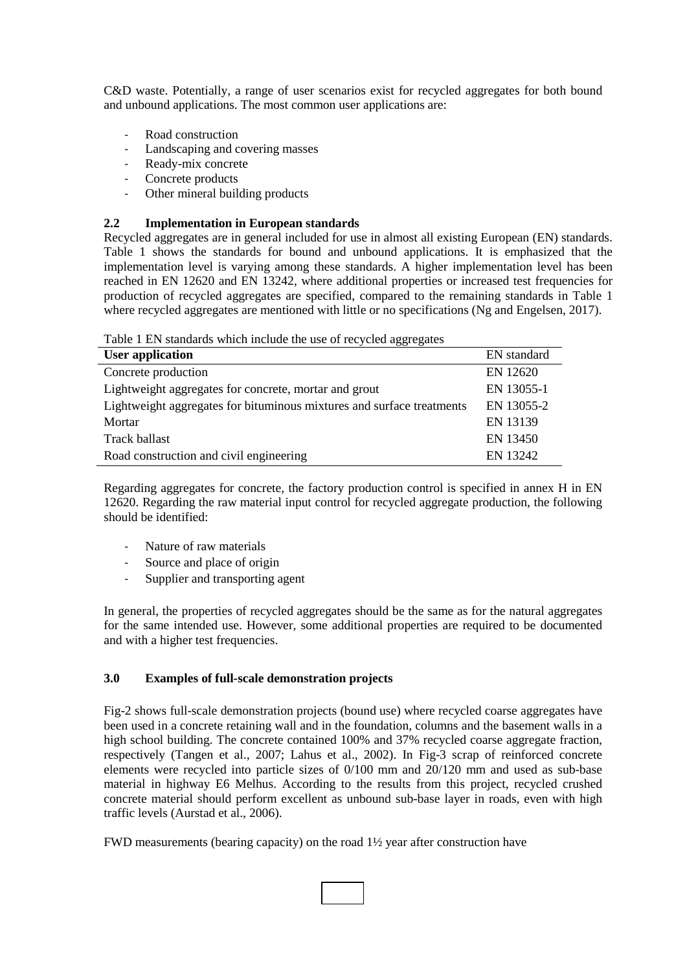C&D waste. Potentially, a range of user scenarios exist for recycled aggregates for both bound and unbound applications. The most common user applications are:

- Road construction
- Landscaping and covering masses
- Ready-mix concrete
- Concrete products
- Other mineral building products

# **2.2 Implementation in European standards**

Recycled aggregates are in general included for use in almost all existing European (EN) standards. Table 1 shows the standards for bound and unbound applications. It is emphasized that the implementation level is varying among these standards. A higher implementation level has been reached in EN 12620 and EN 13242, where additional properties or increased test frequencies for production of recycled aggregates are specified, compared to the remaining standards in Table 1 where recycled aggregates are mentioned with little or no specifications (Ng and Engelsen, 2017).

Table 1 EN standards which include the use of recycled aggregates

| EN standard |
|-------------|
| EN 12620    |
| EN 13055-1  |
| EN 13055-2  |
| EN 13139    |
| EN 13450    |
| EN 13242    |
|             |

Regarding aggregates for concrete, the factory production control is specified in annex H in EN 12620. Regarding the raw material input control for recycled aggregate production, the following should be identified:

- Nature of raw materials
- Source and place of origin
- Supplier and transporting agent

In general, the properties of recycled aggregates should be the same as for the natural aggregates for the same intended use. However, some additional properties are required to be documented and with a higher test frequencies.

## **3.0 Examples of full-scale demonstration projects**

Fig-2 shows full-scale demonstration projects (bound use) where recycled coarse aggregates have been used in a concrete retaining wall and in the foundation, columns and the basement walls in a high school building. The concrete contained 100% and 37% recycled coarse aggregate fraction, respectively (Tangen et al., 2007; Lahus et al., 2002). In Fig-3 scrap of reinforced concrete elements were recycled into particle sizes of 0/100 mm and 20/120 mm and used as sub-base material in highway E6 Melhus. According to the results from this project, recycled crushed concrete material should perform excellent as unbound sub-base layer in roads, even with high traffic levels (Aurstad et al., 2006).

FWD measurements (bearing capacity) on the road 1½ year after construction have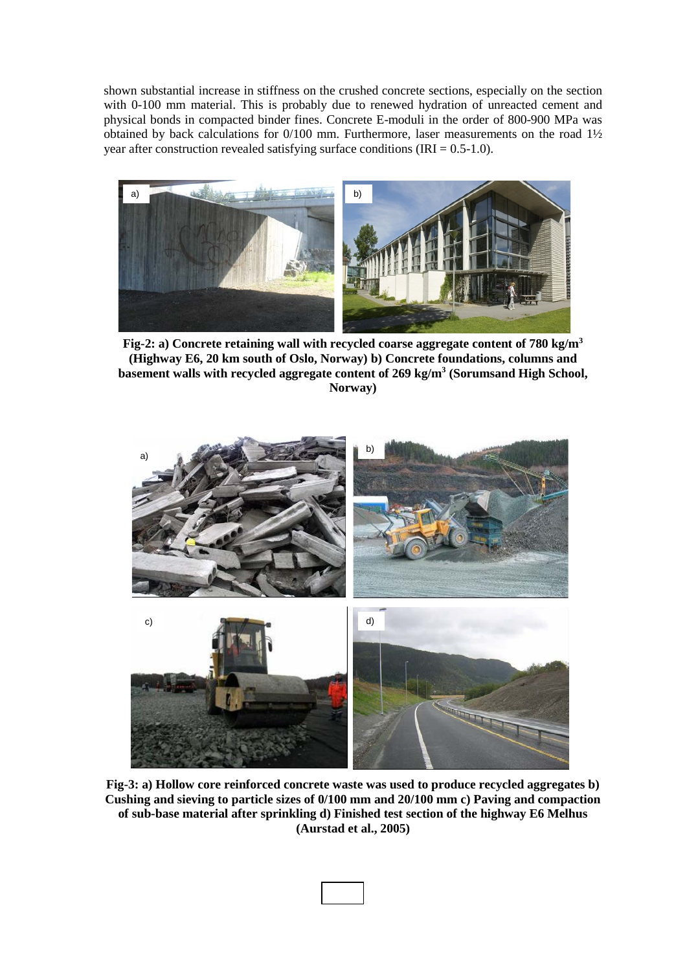shown substantial increase in stiffness on the crushed concrete sections, especially on the section with 0-100 mm material. This is probably due to renewed hydration of unreacted cement and physical bonds in compacted binder fines. Concrete E-moduli in the order of 800-900 MPa was obtained by back calculations for 0/100 mm. Furthermore, laser measurements on the road 1½ year after construction revealed satisfying surface conditions  $(IRI = 0.5-1.0)$ .



**Fig-2: a) Concrete retaining wall with recycled coarse aggregate content of 780 kg/m3 (Highway E6, 20 km south of Oslo, Norway) b) Concrete foundations, columns and basement walls with recycled aggregate content of 269 kg/m3 (Sorumsand High School, Norway)**



**Fig-3: a) Hollow core reinforced concrete waste was used to produce recycled aggregates b) Cushing and sieving to particle sizes of 0/100 mm and 20/100 mm c) Paving and compaction of sub-base material after sprinkling d) Finished test section of the highway E6 Melhus (Aurstad et al., 2005)**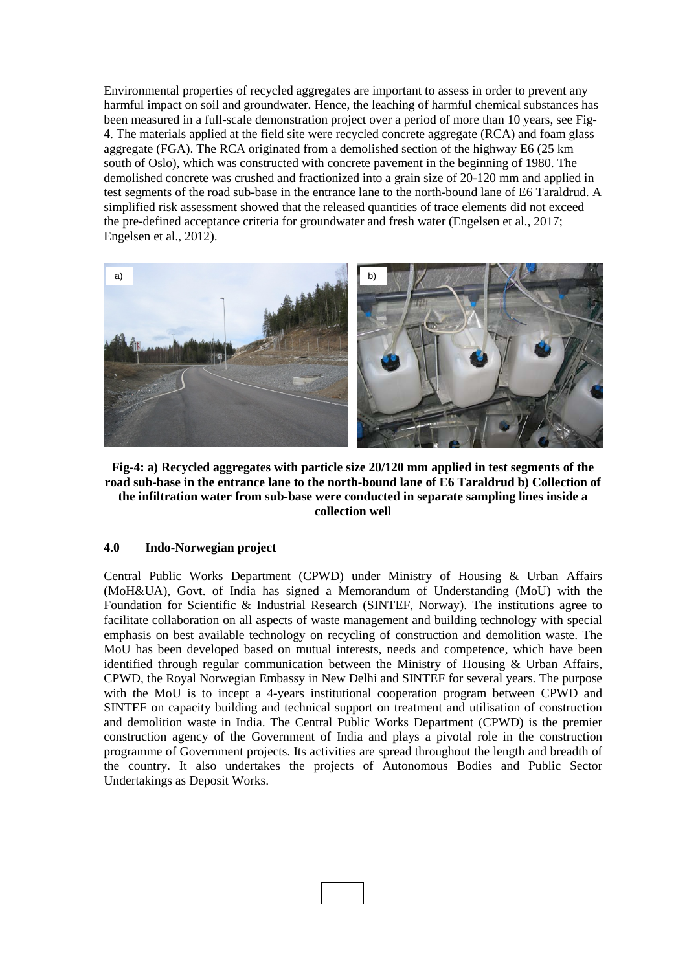Environmental properties of recycled aggregates are important to assess in order to prevent any harmful impact on soil and groundwater. Hence, the leaching of harmful chemical substances has been measured in a full-scale demonstration project over a period of more than 10 years, see Fig-4. The materials applied at the field site were recycled concrete aggregate (RCA) and foam glass aggregate (FGA). The RCA originated from a demolished section of the highway E6 (25 km south of Oslo), which was constructed with concrete pavement in the beginning of 1980. The demolished concrete was crushed and fractionized into a grain size of 20-120 mm and applied in test segments of the road sub-base in the entrance lane to the north-bound lane of E6 Taraldrud. A simplified risk assessment showed that the released quantities of trace elements did not exceed the pre-defined acceptance criteria for groundwater and fresh water (Engelsen et al., 2017; Engelsen et al., 2012).



**Fig-4: a) Recycled aggregates with particle size 20/120 mm applied in test segments of the road sub-base in the entrance lane to the north-bound lane of E6 Taraldrud b) Collection of the infiltration water from sub-base were conducted in separate sampling lines inside a collection well**

#### **4.0 Indo-Norwegian project**

Central Public Works Department (CPWD) under Ministry of Housing & Urban Affairs (MoH&UA), Govt. of India has signed a Memorandum of Understanding (MoU) with the Foundation for Scientific & Industrial Research (SINTEF, Norway). The institutions agree to facilitate collaboration on all aspects of waste management and building technology with special emphasis on best available technology on recycling of construction and demolition waste. The MoU has been developed based on mutual interests, needs and competence, which have been identified through regular communication between the Ministry of Housing & Urban Affairs, CPWD, the Royal Norwegian Embassy in New Delhi and SINTEF for several years. The purpose with the MoU is to incept a 4-years institutional cooperation program between CPWD and SINTEF on capacity building and technical support on treatment and utilisation of construction and demolition waste in India. The Central Public Works Department (CPWD) is the premier construction agency of the Government of India and plays a pivotal role in the construction programme of Government projects. Its activities are spread throughout the length and breadth of the country. It also undertakes the projects of Autonomous Bodies and Public Sector Undertakings as Deposit Works.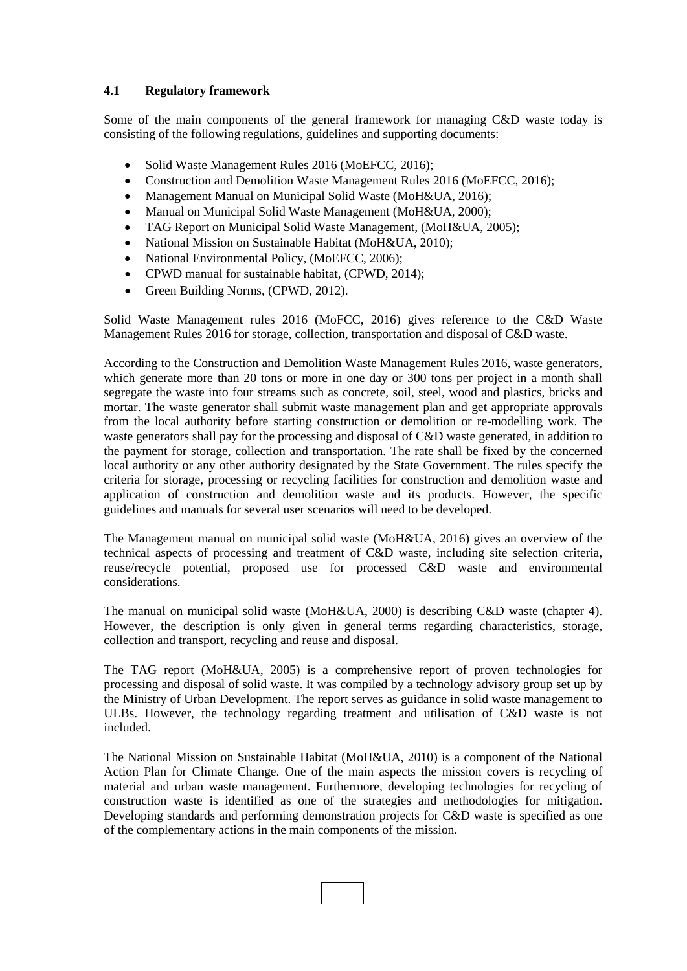# **4.1 Regulatory framework**

Some of the main components of the general framework for managing C&D waste today is consisting of the following regulations, guidelines and supporting documents:

- Solid Waste Management Rules 2016 (MoEFCC, 2016);
- Construction and Demolition Waste Management Rules 2016 (MoEFCC, 2016);
- Management Manual on Municipal Solid Waste (MoH&UA, 2016);
- Manual on Municipal Solid Waste Management (MoH&UA, 2000);
- TAG Report on Municipal Solid Waste Management, (MoH&UA, 2005);
- National Mission on Sustainable Habitat (MoH&UA, 2010);
- National Environmental Policy, (MoEFCC, 2006);
- CPWD manual for sustainable habitat, (CPWD, 2014);
- Green Building Norms, (CPWD, 2012).

Solid Waste Management rules 2016 (MoFCC, 2016) gives reference to the C&D Waste Management Rules 2016 for storage, collection, transportation and disposal of C&D waste.

According to the Construction and Demolition Waste Management Rules 2016, waste generators, which generate more than 20 tons or more in one day or 300 tons per project in a month shall segregate the waste into four streams such as concrete, soil, steel, wood and plastics, bricks and mortar. The waste generator shall submit waste management plan and get appropriate approvals from the local authority before starting construction or demolition or re-modelling work. The waste generators shall pay for the processing and disposal of C&D waste generated, in addition to the payment for storage, collection and transportation. The rate shall be fixed by the concerned local authority or any other authority designated by the State Government. The rules specify the criteria for storage, processing or recycling facilities for construction and demolition waste and application of construction and demolition waste and its products. However, the specific guidelines and manuals for several user scenarios will need to be developed.

The Management manual on municipal solid waste (MoH&UA, 2016) gives an overview of the technical aspects of processing and treatment of C&D waste, including site selection criteria, reuse/recycle potential, proposed use for processed C&D waste and environmental considerations.

The manual on municipal solid waste (MoH&UA, 2000) is describing C&D waste (chapter 4). However, the description is only given in general terms regarding characteristics, storage, collection and transport, recycling and reuse and disposal.

The TAG report (MoH&UA, 2005) is a comprehensive report of proven technologies for processing and disposal of solid waste. It was compiled by a technology advisory group set up by the Ministry of Urban Development. The report serves as guidance in solid waste management to ULBs. However, the technology regarding treatment and utilisation of C&D waste is not included.

The National Mission on Sustainable Habitat (MoH&UA, 2010) is a component of the National Action Plan for Climate Change. One of the main aspects the mission covers is recycling of material and urban waste management. Furthermore, developing technologies for recycling of construction waste is identified as one of the strategies and methodologies for mitigation. Developing standards and performing demonstration projects for C&D waste is specified as one of the complementary actions in the main components of the mission.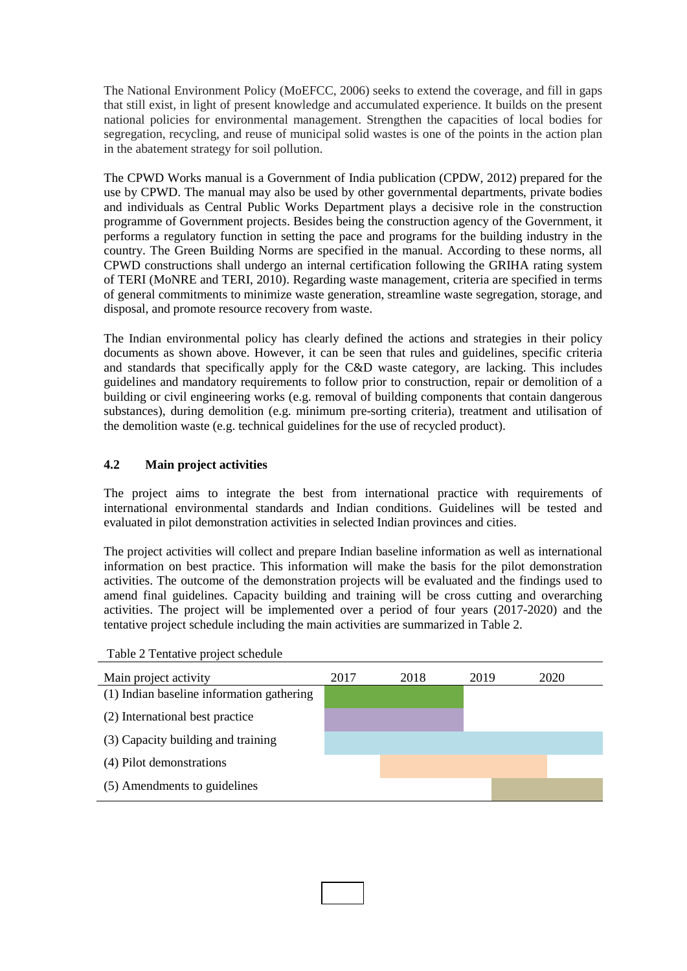The National Environment Policy (MoEFCC, 2006) seeks to extend the coverage, and fill in gaps that still exist, in light of present knowledge and accumulated experience. It builds on the present national policies for environmental management. Strengthen the capacities of local bodies for segregation, recycling, and reuse of municipal solid wastes is one of the points in the action plan in the abatement strategy for soil pollution.

The CPWD Works manual is a Government of India publication (CPDW, 2012) prepared for the use by CPWD. The manual may also be used by other governmental departments, private bodies and individuals as Central Public Works Department plays a decisive role in the construction programme of Government projects. Besides being the construction agency of the Government, it performs a regulatory function in setting the pace and programs for the building industry in the country. The Green Building Norms are specified in the manual. According to these norms, all CPWD constructions shall undergo an internal certification following the GRIHA rating system of TERI (MoNRE and TERI, 2010). Regarding waste management, criteria are specified in terms of general commitments to minimize waste generation, streamline waste segregation, storage, and disposal, and promote resource recovery from waste.

The Indian environmental policy has clearly defined the actions and strategies in their policy documents as shown above. However, it can be seen that rules and guidelines, specific criteria and standards that specifically apply for the C&D waste category, are lacking. This includes guidelines and mandatory requirements to follow prior to construction, repair or demolition of a building or civil engineering works (e.g. removal of building components that contain dangerous substances), during demolition (e.g. minimum pre-sorting criteria), treatment and utilisation of the demolition waste (e.g. technical guidelines for the use of recycled product).

# **4.2 Main project activities**

The project aims to integrate the best from international practice with requirements of international environmental standards and Indian conditions. Guidelines will be tested and evaluated in pilot demonstration activities in selected Indian provinces and cities.

The project activities will collect and prepare Indian baseline information as well as international information on best practice. This information will make the basis for the pilot demonstration activities. The outcome of the demonstration projects will be evaluated and the findings used to amend final guidelines. Capacity building and training will be cross cutting and overarching activities. The project will be implemented over a period of four years (2017-2020) and the tentative project schedule including the main activities are summarized in Table 2.

Table 2 Tentative project schedule

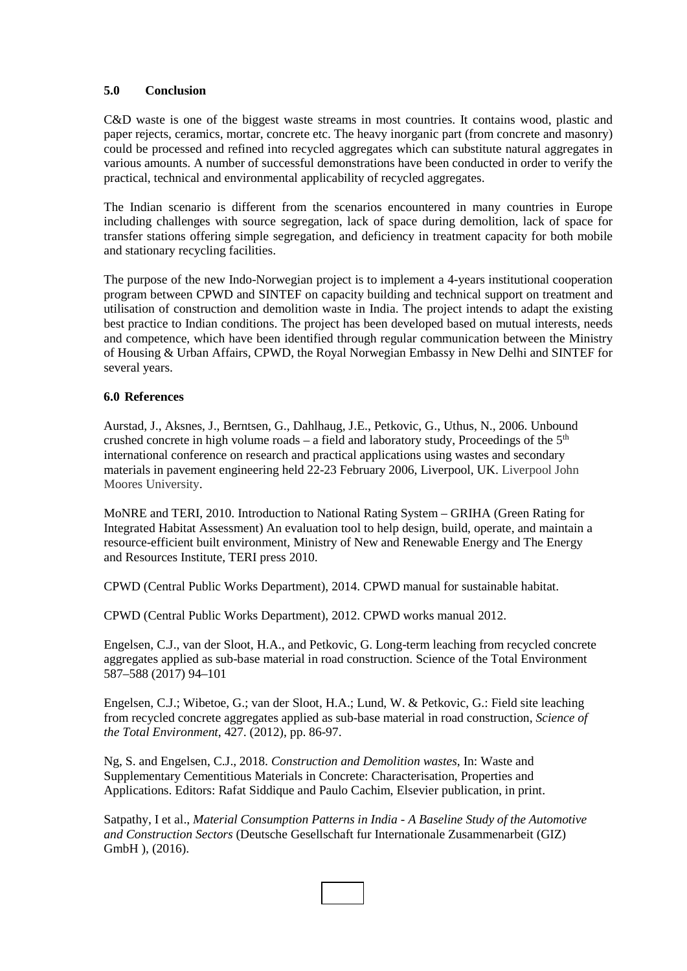#### **5.0 Conclusion**

C&D waste is one of the biggest waste streams in most countries. It contains wood, plastic and paper rejects, ceramics, mortar, concrete etc. The heavy inorganic part (from concrete and masonry) could be processed and refined into recycled aggregates which can substitute natural aggregates in various amounts. A number of successful demonstrations have been conducted in order to verify the practical, technical and environmental applicability of recycled aggregates.

The Indian scenario is different from the scenarios encountered in many countries in Europe including challenges with source segregation, lack of space during demolition, lack of space for transfer stations offering simple segregation, and deficiency in treatment capacity for both mobile and stationary recycling facilities.

The purpose of the new Indo-Norwegian project is to implement a 4-years institutional cooperation program between CPWD and SINTEF on capacity building and technical support on treatment and utilisation of construction and demolition waste in India. The project intends to adapt the existing best practice to Indian conditions. The project has been developed based on mutual interests, needs and competence, which have been identified through regular communication between the Ministry of Housing & Urban Affairs, CPWD, the Royal Norwegian Embassy in New Delhi and SINTEF for several years.

#### **6.0 References**

Aurstad, J., Aksnes, J., Berntsen, G., Dahlhaug, J.E., Petkovic, G., Uthus, N., 2006. Unbound crushed concrete in high volume roads – a field and laboratory study, Proceedings of the  $5<sup>th</sup>$ international conference on research and practical applications using wastes and secondary materials in pavement engineering held 22-23 February 2006, Liverpool, UK. Liverpool John Moores University.

MoNRE and TERI, 2010. Introduction to National Rating System – GRIHA (Green Rating for Integrated Habitat Assessment) An evaluation tool to help design, build, operate, and maintain a resource-efficient built environment, Ministry of New and Renewable Energy and The Energy and Resources Institute, TERI press 2010.

CPWD (Central Public Works Department), 2014. CPWD manual for sustainable habitat.

CPWD (Central Public Works Department), 2012. CPWD works manual 2012.

Engelsen, C.J., van der Sloot, H.A., and Petkovic, G. Long-term leaching from recycled concrete aggregates applied as sub-base material in road construction. Science of the Total Environment 587–588 (2017) 94–101

Engelsen, C.J.; Wibetoe, G.; van der Sloot, H.A.; Lund, W. & Petkovic, G.: Field site leaching from recycled concrete aggregates applied as sub-base material in road construction, *Science of the Total Environment*, 427. (2012), pp. 86-97.

Ng, S. and Engelsen, C.J., 2018. *Construction and Demolition wastes*, In: Waste and Supplementary Cementitious Materials in Concrete: Characterisation, Properties and Applications. Editors: Rafat Siddique and Paulo Cachim, Elsevier publication, in print.

Satpathy, I et al., *Material Consumption Patterns in India - A Baseline Study of the Automotive and Construction Sectors* (Deutsche Gesellschaft fur Internationale Zusammenarbeit (GIZ) GmbH ), (2016).